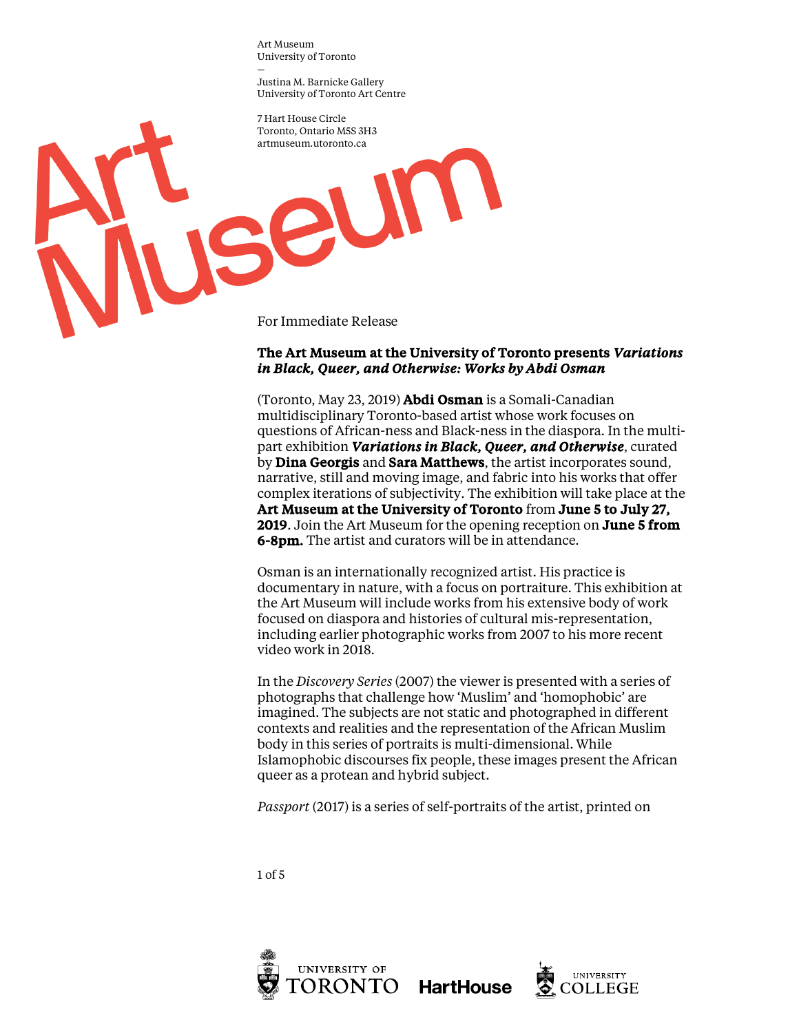— Justina M. Barnicke Gallery University of Toronto Art Centre

7 Hart House Circle Toronto, Ontario M5S 3H3 artmuseum.utoronto.ca

For Immediate Release

seun

# The Art Museum at the University of Toronto presents *Variations in Black, Queer, and Otherwise: Works by Abdi Osman*

(Toronto, May 23, 2019) Abdi Osman is a Somali-Canadian multidisciplinary Toronto-based artist whose work focuses on questions of African-ness and Black-ness in the diaspora. In the multipart exhibition *Variations in Black, Queer, and Otherwise*, curated by **Dina Georgis** and **Sara Matthews**, the artist incorporates sound, narrative, still and moving image, and fabric into his works that offer complex iterations of subjectivity. The exhibition will take place at the Art Museum at the University of Toronto from June 5 to July 27, 2019. Join the Art Museum for the opening reception on **June 5 from** 6-8pm. The artist and curators will be in attendance.

Osman is an internationally recognized artist. His practice is documentary in nature, with a focus on portraiture. This exhibition at the Art Museum will include works from his extensive body of work focused on diaspora and histories of cultural mis-representation, including earlier photographic works from 2007 to his more recent video work in 2018.

In the *Discovery Series* (2007) the viewer is presented with a series of photographs that challenge how 'Muslim' and 'homophobic' are imagined. The subjects are not static and photographed in different contexts and realities and the representation of the African Muslim body in this series of portraits is multi-dimensional. While Islamophobic discourses fix people, these images present the African queer as a protean and hybrid subject.

*Passport* (2017) is a series of self-portraits of the artist, printed on

1 of 5



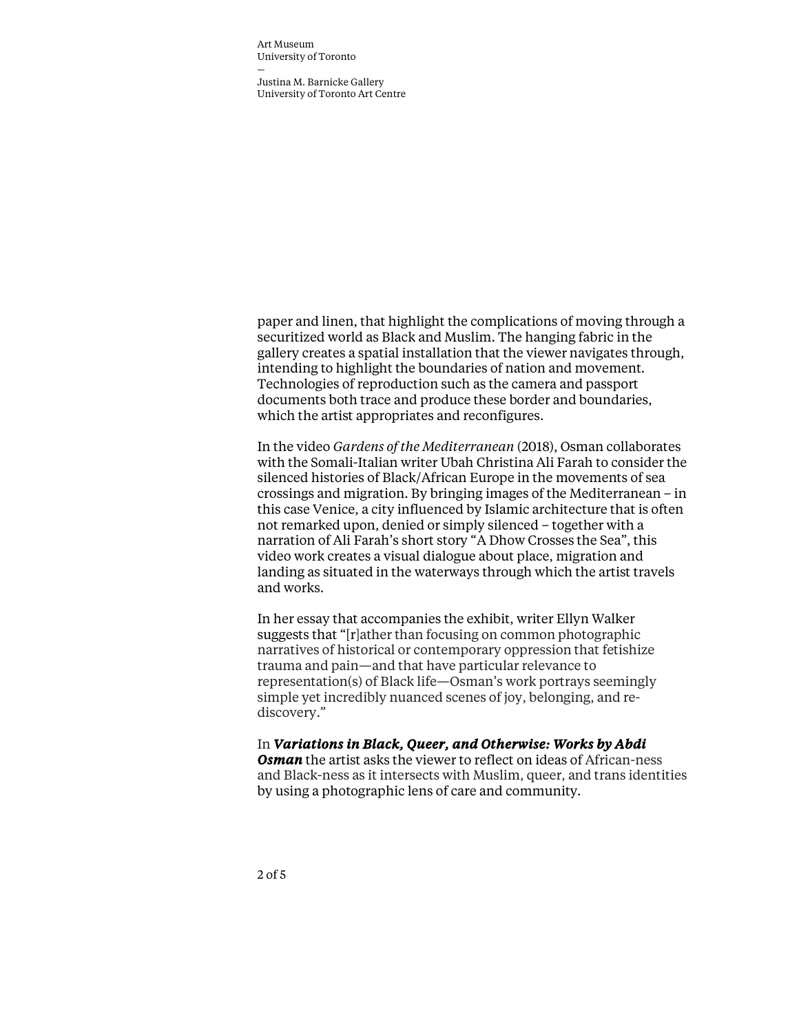— Justina M. Barnicke Gallery University of Toronto Art Centre

paper and linen, that highlight the complications of moving through a securitized world as Black and Muslim. The hanging fabric in the gallery creates a spatial installation that the viewer navigates through, intending to highlight the boundaries of nation and movement. Technologies of reproduction such as the camera and passport documents both trace and produce these border and boundaries, which the artist appropriates and reconfigures.

In the video *Gardens of the Mediterranean* (2018), Osman collaborates with the Somali-Italian writer Ubah Christina Ali Farah to consider the silenced histories of Black/African Europe in the movements of sea crossings and migration. By bringing images of the Mediterranean – in this case Venice, a city influenced by Islamic architecture that is often not remarked upon, denied or simply silenced – together with a narration of Ali Farah's short story "A Dhow Crosses the Sea", this video work creates a visual dialogue about place, migration and landing as situated in the waterways through which the artist travels and works.

In her essay that accompanies the exhibit, writer Ellyn Walker suggests that "[r]ather than focusing on common photographic narratives of historical or contemporary oppression that fetishize trauma and pain—and that have particular relevance to representation(s) of Black life—Osman's work portrays seemingly simple yet incredibly nuanced scenes of joy, belonging, and rediscovery."

### In *Variations in Black, Queer, and Otherwise: Works by Abdi*

*Osman* the artist asks the viewer to reflect on ideas of African-ness and Black-ness as it intersects with Muslim, queer, and trans identities by using a photographic lens of care and community.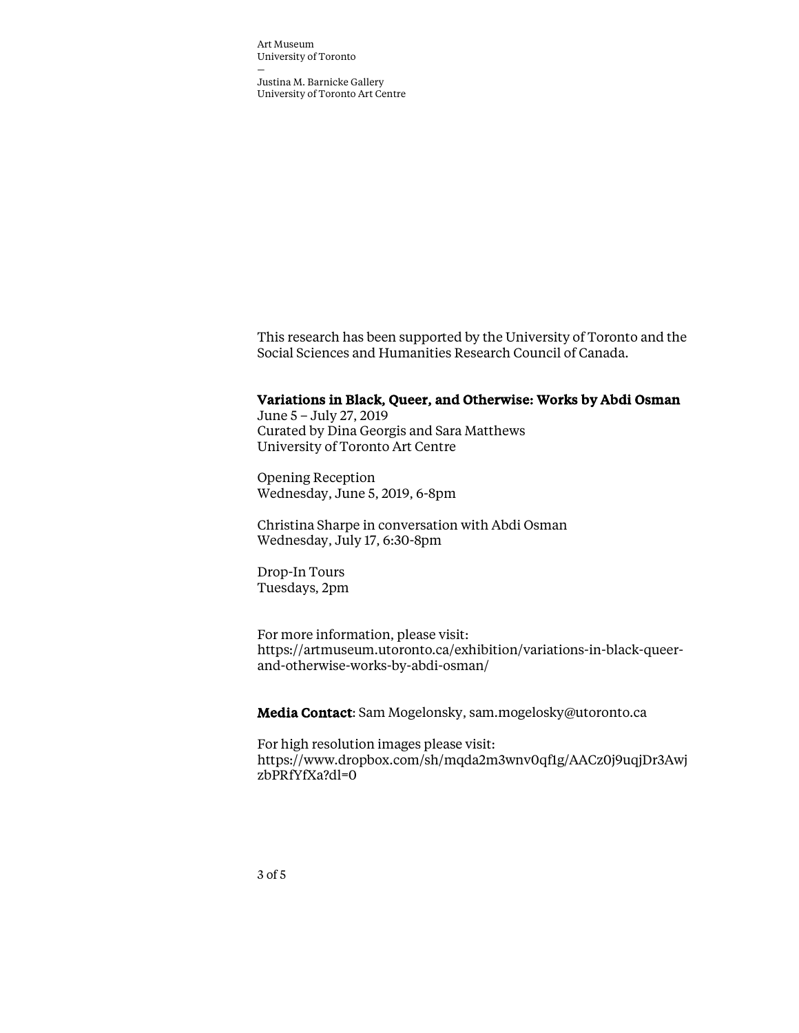— Justina M. Barnicke Gallery University of Toronto Art Centre

This research has been supported by the University of Toronto and the Social Sciences and Humanities Research Council of Canada.

#### Variations in Black, Queer, and Otherwise: Works by Abdi Osman

June 5 – July 27, 2019 Curated by Dina Georgis and Sara Matthews University of Toronto Art Centre

Opening Reception Wednesday, June 5, 2019, 6-8pm

Christina Sharpe in conversation with Abdi Osman Wednesday, July 17, 6:30-8pm

Drop-In Tours Tuesdays, 2pm

For more information, please visit: https://artmuseum.utoronto.ca/exhibition/variations-in-black-queerand-otherwise-works-by-abdi-osman/

Media Contact: Sam Mogelonsky, sam.mogelosky@utoronto.ca

For high resolution images please visit: https://www.dropbox.com/sh/mqda2m3wnv0qf1g/AACz0j9uqjDr3Awj zbPRfYfXa?dl=0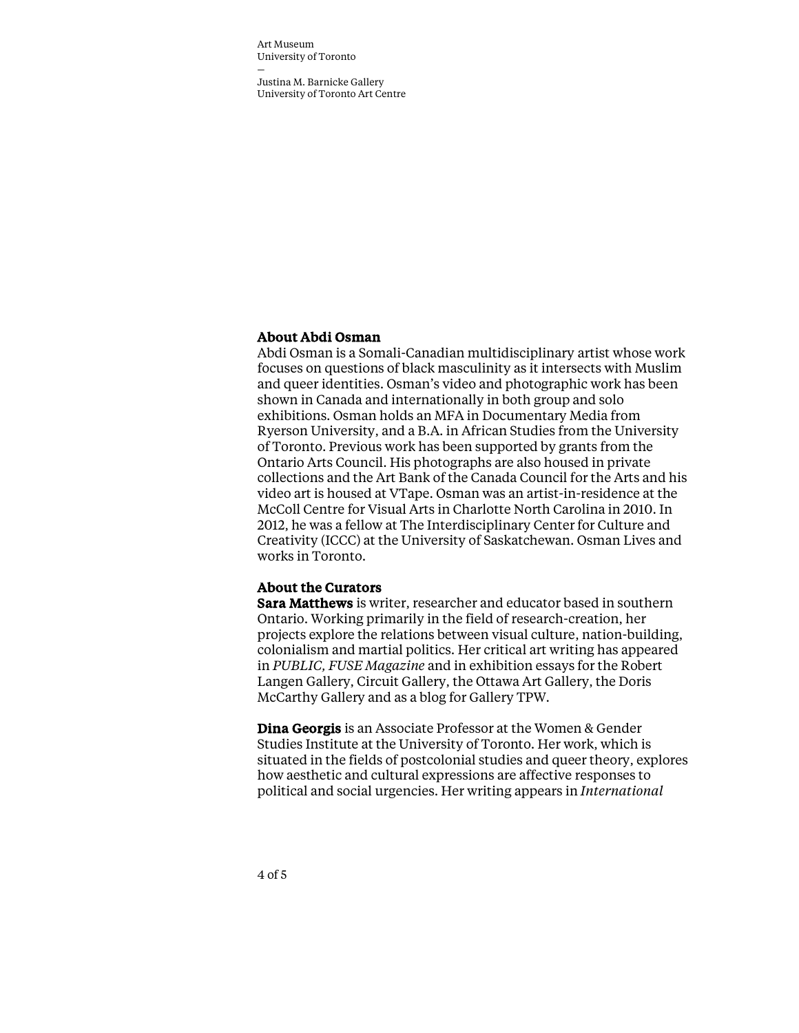— Justina M. Barnicke Gallery University of Toronto Art Centre

# About Abdi Osman

Abdi Osman is a Somali-Canadian multidisciplinary artist whose work focuses on questions of black masculinity as it intersects with Muslim and queer identities. Osman's video and photographic work has been shown in Canada and internationally in both group and solo exhibitions. Osman holds an MFA in Documentary Media from Ryerson University, and a B.A. in African Studies from the University of Toronto. Previous work has been supported by grants from the Ontario Arts Council. His photographs are also housed in private collections and the Art Bank of the Canada Council for the Arts and his video art is housed at VTape. Osman was an artist-in-residence at the McColl Centre for Visual Arts in Charlotte North Carolina in 2010. In 2012, he was a fellow at The Interdisciplinary Center for Culture and Creativity (ICCC) at the University of Saskatchewan. Osman Lives and works in Toronto.

## About the Curators

Sara Matthews is writer, researcher and educator based in southern Ontario. Working primarily in the field of research-creation, her projects explore the relations between visual culture, nation-building, colonialism and martial politics. Her critical art writing has appeared in *PUBLIC, FUSE Magazine* and in exhibition essays for the Robert Langen Gallery, Circuit Gallery, the Ottawa Art Gallery, the Doris McCarthy Gallery and as a blog for Gallery TPW.

Dina Georgis is an Associate Professor at the Women & Gender Studies Institute at the University of Toronto. Her work, which is situated in the fields of postcolonial studies and queer theory, explores how aesthetic and cultural expressions are affective responses to political and social urgencies. Her writing appears in *International*